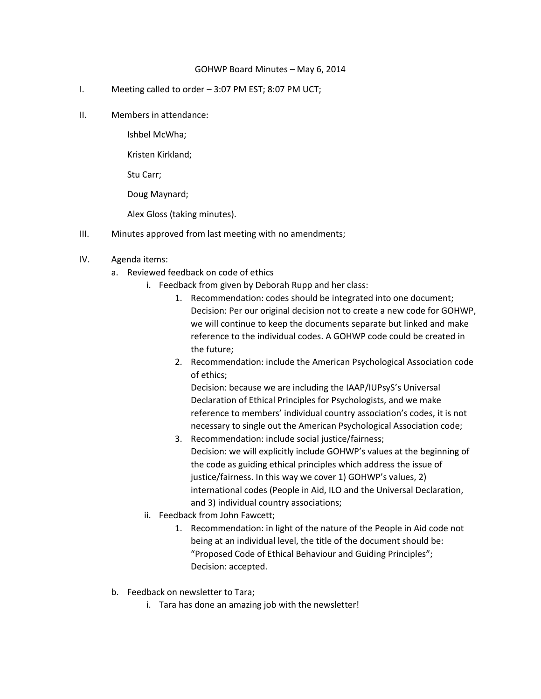## GOHWP Board Minutes – May 6, 2014

- I. Meeting called to order 3:07 PM EST; 8:07 PM UCT;
- II. Members in attendance:

Ishbel McWha;

Kristen Kirkland;

Stu Carr;

Doug Maynard;

Alex Gloss (taking minutes).

- III. Minutes approved from last meeting with no amendments;
- IV. Agenda items:
	- a. Reviewed feedback on code of ethics
		- i. Feedback from given by Deborah Rupp and her class:
			- 1. Recommendation: codes should be integrated into one document; Decision: Per our original decision not to create a new code for GOHWP, we will continue to keep the documents separate but linked and make reference to the individual codes. A GOHWP code could be created in the future;
			- 2. Recommendation: include the American Psychological Association code of ethics;

Decision: because we are including the IAAP/IUPsyS's Universal Declaration of Ethical Principles for Psychologists, and we make reference to members' individual country association's codes, it is not necessary to single out the American Psychological Association code;

- 3. Recommendation: include social justice/fairness; Decision: we will explicitly include GOHWP's values at the beginning of the code as guiding ethical principles which address the issue of justice/fairness. In this way we cover 1) GOHWP's values, 2) international codes (People in Aid, ILO and the Universal Declaration, and 3) individual country associations;
- ii. Feedback from John Fawcett;
	- 1. Recommendation: in light of the nature of the People in Aid code not being at an individual level, the title of the document should be: "Proposed Code of Ethical Behaviour and Guiding Principles"; Decision: accepted.
- b. Feedback on newsletter to Tara;
	- i. Tara has done an amazing job with the newsletter!